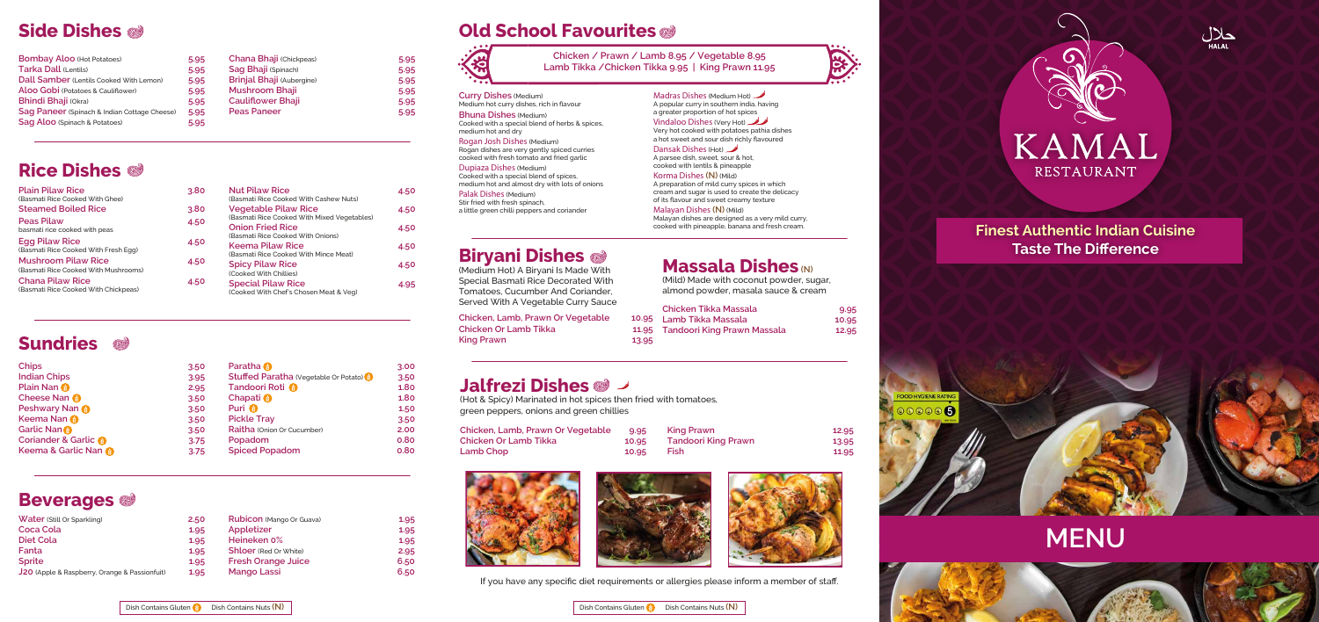**Chicken / Prawn / Lamb 8.95 / Vegetable 8.95 Lamb Tikka /Chicken Tikka 9.95 | King Prawn 11.95**

| <b>Curry Dishes (Medium)</b>                   | Ma    |
|------------------------------------------------|-------|
| Medium hot curry dishes, rich in flavour       | Аp    |
| <b>Bhuna Dishes (Medium)</b>                   | a gi  |
| Cooked with a special blend of herbs & spices, | Vin   |
| medium hot and dry                             | Ver   |
| Rogan Josh Dishes (Medium)                     | a ho  |
| Rogan dishes are very gently spiced curries    | Da    |
| cooked with fresh tomato and fried garlic      | A p   |
|                                                | coo   |
| Dupiaza Dishes (Medium)                        | Kol   |
| Cooked with a special blend of spices,         |       |
| medium hot and almost dry with lots of onions  | Аp    |
| Palak Dishes (Medium)                          | cre   |
| Stir fried with fresh spinach,                 | of il |
| a little green chilli peppers and coriander    | Ma    |
|                                                | Mal   |
|                                                |       |

# **Biryani Dishes**

Malayan dishes are designed as a very mild curry, cooked with pineapple, banana and fresh cream.

| (Medium Hot) A Biryani Is Made With        |       | <b>Massald Disties (N)</b>              |       |
|--------------------------------------------|-------|-----------------------------------------|-------|
| Special Basmati Rice Decorated With        |       | (Mild) Made with coconut powder, sugar, |       |
| Tomatoes, Cucumber And Coriander,          |       | almond powder, masala sauce & cream     |       |
| Served With A Vegetable Curry Sauce        |       | <b>Chicken Tikka Massala</b>            | 9.95  |
| Chicken, Lamb, Prawn Or Vegetable          |       | 10.95 Lamb Tikka Massala                | 10.95 |
| <b>Chicken Or Lamb Tikka</b><br>King Prawn | 13.95 | 11.95 Tandoori King Prawn Massala       | 12.95 |
|                                            |       |                                         |       |

# **Massala Dishes(N)**







KAMAL RESTAURANT

### **Finest Authentic Indian Cuisine Taste The Difference**



# **Jalfrezi Dishes**

(Hot & Spicy) Marinated in hot spices then fried with tomatoes, green peppers, onions and green chillies�

| Chicken, Lamb, Prawn Or Vegetable | 9.95  | King Prawn                 | 12.95 |
|-----------------------------------|-------|----------------------------|-------|
| Chicken Or Lamb Tikka             | 10.95 | <b>Tandoori King Prawn</b> | 13.95 |
| Lamb Chop                         | 10.95 | <b>Fish</b>                | 11.95 |





If you have any specific diet requirements or allergies please inform a member of staff.





adras Dishes (Medium Hot)  $\rightarrow$ oopular curry in southern india, having reater proportion of hot spices **Vidaloo Dishes (Very Hot)** ry hot cooked with potatoes pathia dishes

not sweet and sour dish richly flavoured ansak Dishes (Hot)  $\rightarrow$ oarsee dish, sweet, sour & hot,

oked with lentils & pineapple Korma Dishes **(N)** (Mild) reparation of mild curry spices in which

eam and sugar is used to create the delicacy of its flavour and sweet creamy texture

alayan Dishes **(N)** (Mild)

# **Side Dishes�**

| <b>Bombay Aloo (Hot Potatoes)</b>            | 5.95 | <b>Chana Bhaji (Chickpeas)</b>   |
|----------------------------------------------|------|----------------------------------|
| Tarka Dall (Lentils)                         | 5.95 | Sag Bhaji (Spinach)              |
| Dall Samber (Lentils Cooked With Lemon)      | 5.95 | <b>Brinjal Bhaji (Aubergine)</b> |
| Aloo Gobi (Potatoes & Cauliflower)           | 5.95 | <b>Mushroom Bhaji</b>            |
| <b>Bhindi Bhaji (Okra)</b>                   | 5.95 | <b>Cauliflower Bhaji</b>         |
| Sag Paneer (Spinach & Indian Cottage Cheese) | 5.95 | <b>Peas Paneer</b>               |
| Sag Aloo (Spinach & Potatoes)                | 5.95 |                                  |

| <b>Chana Bhaji (Chickpeas)</b>   | 5.95 |
|----------------------------------|------|
| Sag Bhaji (Spinach)              | 5.95 |
| <b>Brinjal Bhaji (Aubergine)</b> | 5.95 |
| <b>Mushroom Bhaji</b>            | 5.95 |
| <b>Cauliflower Bhaji</b>         | 5.95 |
| <b>Peas Paneer</b>               | 5.95 |

# **Rice Dishes�**

| <b>Plain Pilaw Rice</b>                                            | 3.80 |
|--------------------------------------------------------------------|------|
| (Basmati Rice Cooked With Ghee)                                    |      |
| <b>Steamed Boiled Rice</b>                                         | 3.80 |
| <b>Peas Pilaw</b><br>basmati rice cooked with peas                 | 4.50 |
| <b>Egg Pilaw Rice</b><br>(Basmati Rice Cooked With Fresh Egg)      | 4.50 |
| <b>Mushroom Pilaw Rice</b><br>(Basmati Rice Cooked With Mushrooms) | 4.50 |
| <b>Chana Pilaw Rice</b><br>(Basmati Rice Cooked With Chickpeas)    | 4.50 |

| 30 | <b>Nut Pilaw Rice</b><br>(Basmati Rice Cooked With Cashew Nuts)            | 4.50 |
|----|----------------------------------------------------------------------------|------|
| 30 | <b>Vegetable Pilaw Rice</b><br>(Basmati Rice Cooked With Mixed Vegetables) | 4.50 |
| 50 | <b>Onion Fried Rice</b><br>(Basmati Rice Cooked With Onions)               | 4.50 |
| 50 | <b>Keema Pilaw Rice</b><br>(Basmati Rice Cooked With Mince Meat)           | 4.50 |
| 50 | <b>Spicy Pilaw Rice</b><br>(Cooked With Chillies)                          | 4.50 |
| 50 | <b>Special Pilaw Rice</b><br>(Cooked With Chef's Chosen Meat & Veg)        | 4.95 |
|    |                                                                            |      |

# **Sundries�**

| <b>Chips</b>                    | 3.50 | <b>Paratha</b>                        | 3.00 |
|---------------------------------|------|---------------------------------------|------|
| <b>Indian Chips</b>             | 3.95 | Stuffed Paratha (Vegetable Or Potato) | 3.50 |
| <b>Plain Nan ®</b>              | 2.95 | Tandoori Roti <sup>8</sup>            | 1.80 |
| <b>Cheese Nan ®</b>             | 3.50 | Chapati <sup>®</sup>                  | 1.80 |
| <b>Peshwary Nan @</b>           | 3.50 | Puri <sup>3</sup>                     | 1.50 |
| Keema Nan                       | 3.50 | <b>Pickle Tray</b>                    | 3.50 |
| Garlic Nan                      | 3.50 | Raitha (Onion Or Cucumber)            | 2.00 |
| <b>Coriander &amp; Garlic ®</b> | 3.75 | Popadom                               | 0.80 |
| Keema & Garlic Nan              | 3.75 | <b>Spiced Popadom</b>                 | 0.80 |

# **Beverages�**

| <b>Water (Still Or Sparkling)</b>             | 2.50 |
|-----------------------------------------------|------|
| <b>Coca Cola</b>                              | 1.95 |
| <b>Diet Cola</b>                              | 1.95 |
| Fanta                                         | 1.95 |
| <b>Sprite</b>                                 | 1.95 |
| J20 (Apple & Raspberry, Orange & Passionfuit) | 1.95 |

| <b>Stuffed Paratha (Vegetable Or Potato) \$</b> | 3.50 |
|-------------------------------------------------|------|
| Tandoori Roti <sup>8</sup>                      | 1.80 |
| <b>Chapati</b>                                  | 1.80 |
| Puri <sup>8</sup>                               | 1.50 |
| <b>Pickle Tray</b>                              | 3.50 |
| Raitha (Onion Or Cucumber)                      | 2.00 |
| Popadom                                         | 0.80 |
| <b>Spiced Popadom</b>                           | 0.80 |
|                                                 |      |

| 50 | Rubicon (Mango Or Guava)     | 1.95 |
|----|------------------------------|------|
| 95 | Appletizer                   | 1.95 |
| 95 | Heineken 0%                  | 1.95 |
| 95 | <b>Shloer</b> (Red Or White) | 2.95 |
| 95 | <b>Fresh Orange Juice</b>    | 6.50 |
| 95 | <b>Mango Lassi</b>           | 6.50 |
|    |                              |      |

# **Old School Favourites**

# **MENU**